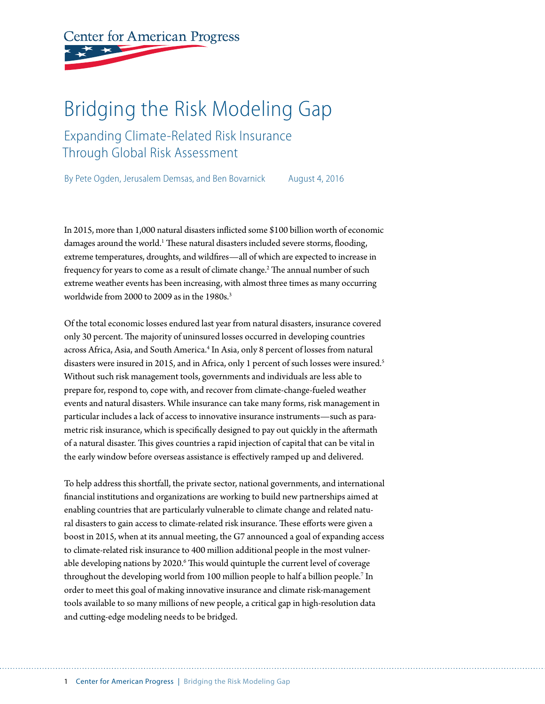# **Center for American Progress**

## Bridging the Risk Modeling Gap

Expanding Climate-Related Risk Insurance Through Global Risk Assessment

By Pete Ogden, Jerusalem Demsas, and Ben Bovarnick August 4, 2016

In 2015, more than 1,000 natural disasters inflicted some \$100 billion worth of economic damages around the world.<sup>1</sup> These natural disasters included severe storms, flooding, extreme temperatures, droughts, and wildfires—all of which are expected to increase in frequency for years to come as a result of climate change.<sup>2</sup> The annual number of such extreme weather events has been increasing, with almost three times as many occurring worldwide from 2000 to 2009 as in the 1980s.<sup>3</sup>

Of the total economic losses endured last year from natural disasters, insurance covered only 30 percent. The majority of uninsured losses occurred in developing countries across Africa, Asia, and South America.<sup>4</sup> In Asia, only 8 percent of losses from natural disasters were insured in 2015, and in Africa, only 1 percent of such losses were insured.<sup>5</sup> Without such risk management tools, governments and individuals are less able to prepare for, respond to, cope with, and recover from climate-change-fueled weather events and natural disasters. While insurance can take many forms, risk management in particular includes a lack of access to innovative insurance instruments—such as parametric risk insurance, which is specifically designed to pay out quickly in the aftermath of a natural disaster. This gives countries a rapid injection of capital that can be vital in the early window before overseas assistance is effectively ramped up and delivered.

To help address this shortfall, the private sector, national governments, and international financial institutions and organizations are working to build new partnerships aimed at enabling countries that are particularly vulnerable to climate change and related natural disasters to gain access to climate-related risk insurance. These efforts were given a boost in 2015, when at its annual meeting, the G7 announced a goal of expanding access to climate-related risk insurance to 400 million additional people in the most vulnerable developing nations by 2020.<sup>6</sup> This would quintuple the current level of coverage throughout the developing world from 100 million people to half a billion people.7 In order to meet this goal of making innovative insurance and climate risk-management tools available to so many millions of new people, a critical gap in high-resolution data and cutting-edge modeling needs to be bridged.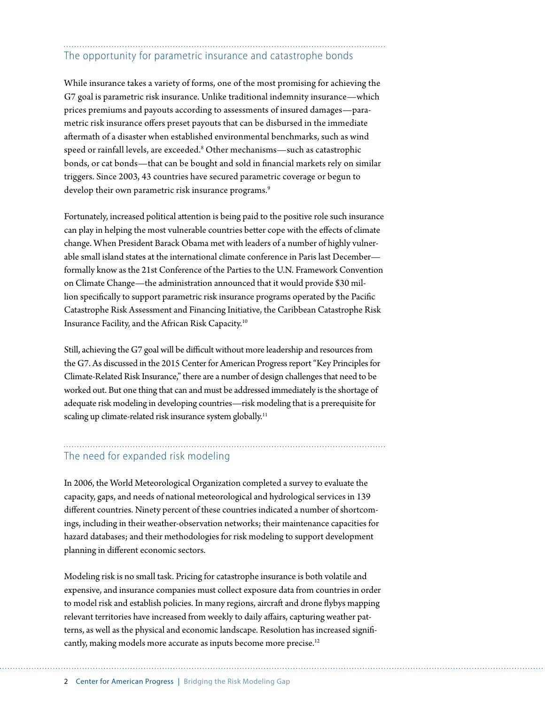### The opportunity for parametric insurance and catastrophe bonds

While insurance takes a variety of forms, one of the most promising for achieving the G7 goal is parametric risk insurance. Unlike traditional indemnity insurance—which prices premiums and payouts according to assessments of insured damages—parametric risk insurance offers preset payouts that can be disbursed in the immediate aftermath of a disaster when established environmental benchmarks, such as wind speed or rainfall levels, are exceeded.<sup>8</sup> Other mechanisms—such as catastrophic bonds, or cat bonds—that can be bought and sold in financial markets rely on similar triggers. Since 2003, 43 countries have secured parametric coverage or begun to develop their own parametric risk insurance programs.<sup>9</sup>

Fortunately, increased political attention is being paid to the positive role such insurance can play in helping the most vulnerable countries better cope with the effects of climate change. When President Barack Obama met with leaders of a number of highly vulnerable small island states at the international climate conference in Paris last December formally know as the 21st Conference of the Parties to the U.N. Framework Convention on Climate Change—the administration announced that it would provide \$30 million specifically to support parametric risk insurance programs operated by the Pacific Catastrophe Risk Assessment and Financing Initiative, the Caribbean Catastrophe Risk Insurance Facility, and the African Risk Capacity.10

Still, achieving the G7 goal will be difficult without more leadership and resources from the G7. As discussed in the 2015 Center for American Progress report "Key Principles for Climate-Related Risk Insurance," there are a number of design challenges that need to be worked out. But one thing that can and must be addressed immediately is the shortage of adequate risk modeling in developing countries—risk modeling that is a prerequisite for scaling up climate-related risk insurance system globally.<sup>11</sup>

#### The need for expanded risk modeling

In 2006, the World Meteorological Organization completed a survey to evaluate the capacity, gaps, and needs of national meteorological and hydrological services in 139 different countries. Ninety percent of these countries indicated a number of shortcomings, including in their weather-observation networks; their maintenance capacities for hazard databases; and their methodologies for risk modeling to support development planning in different economic sectors.

Modeling risk is no small task. Pricing for catastrophe insurance is both volatile and expensive, and insurance companies must collect exposure data from countries in order to model risk and establish policies. In many regions, aircraft and drone flybys mapping relevant territories have increased from weekly to daily affairs, capturing weather patterns, as well as the physical and economic landscape. Resolution has increased significantly, making models more accurate as inputs become more precise.<sup>12</sup>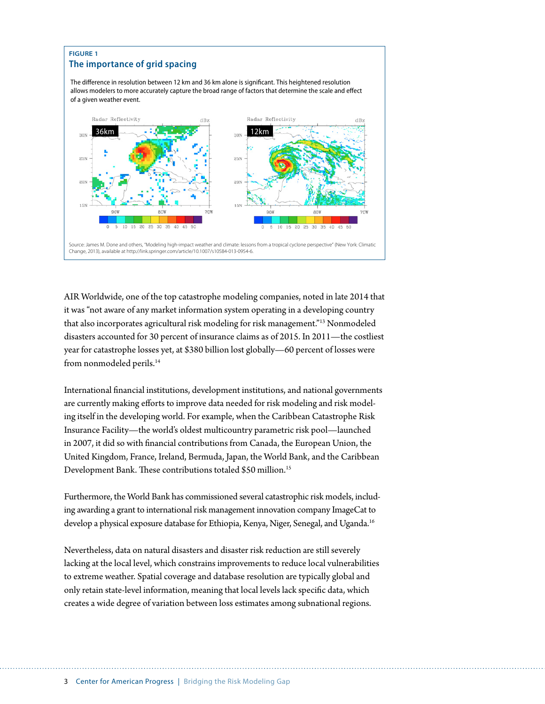

AIR Worldwide, one of the top catastrophe modeling companies, noted in late 2014 that it was "not aware of any market information system operating in a developing country that also incorporates agricultural risk modeling for risk management."13 Nonmodeled disasters accounted for 30 percent of insurance claims as of 2015. In 2011—the costliest year for catastrophe losses yet, at \$380 billion lost globally—60 percent of losses were from nonmodeled perils.<sup>14</sup>

International financial institutions, development institutions, and national governments are currently making efforts to improve data needed for risk modeling and risk modeling itself in the developing world. For example, when the Caribbean Catastrophe Risk Insurance Facility—the world's oldest multicountry parametric risk pool—launched in 2007, it did so with financial contributions from Canada, the European Union, the United Kingdom, France, Ireland, Bermuda, Japan, the World Bank, and the Caribbean Development Bank. These contributions totaled \$50 million.15

Furthermore, the World Bank has commissioned several catastrophic risk models, including awarding a grant to international risk management innovation company ImageCat to develop a physical exposure database for Ethiopia, Kenya, Niger, Senegal, and Uganda.<sup>16</sup>

Nevertheless, data on natural disasters and disaster risk reduction are still severely lacking at the local level, which constrains improvements to reduce local vulnerabilities to extreme weather. Spatial coverage and database resolution are typically global and only retain state-level information, meaning that local levels lack specific data, which creates a wide degree of variation between loss estimates among subnational regions.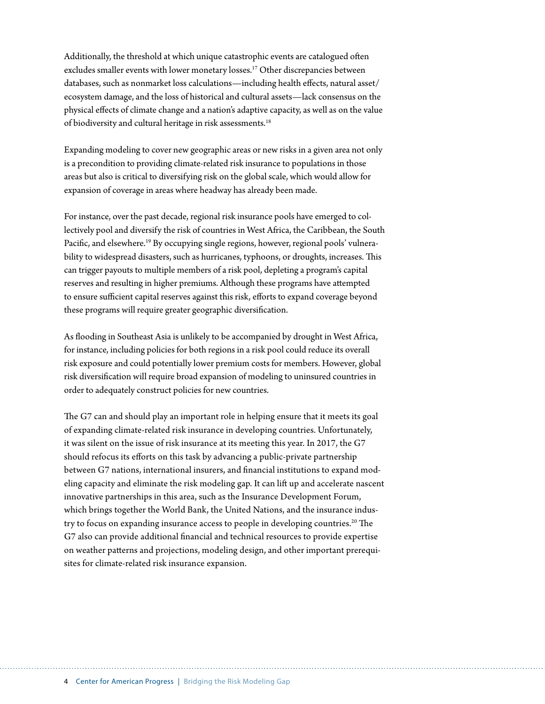Additionally, the threshold at which unique catastrophic events are catalogued often excludes smaller events with lower monetary losses.<sup>17</sup> Other discrepancies between databases, such as nonmarket loss calculations—including health effects, natural asset/ ecosystem damage, and the loss of historical and cultural assets—lack consensus on the physical effects of climate change and a nation's adaptive capacity, as well as on the value of biodiversity and cultural heritage in risk assessments.<sup>18</sup>

Expanding modeling to cover new geographic areas or new risks in a given area not only is a precondition to providing climate-related risk insurance to populations in those areas but also is critical to diversifying risk on the global scale, which would allow for expansion of coverage in areas where headway has already been made.

For instance, over the past decade, regional risk insurance pools have emerged to collectively pool and diversify the risk of countries in West Africa, the Caribbean, the South Pacific, and elsewhere.19 By occupying single regions, however, regional pools' vulnerability to widespread disasters, such as hurricanes, typhoons, or droughts, increases. This can trigger payouts to multiple members of a risk pool, depleting a program's capital reserves and resulting in higher premiums. Although these programs have attempted to ensure sufficient capital reserves against this risk, efforts to expand coverage beyond these programs will require greater geographic diversification.

As flooding in Southeast Asia is unlikely to be accompanied by drought in West Africa, for instance, including policies for both regions in a risk pool could reduce its overall risk exposure and could potentially lower premium costs for members. However, global risk diversification will require broad expansion of modeling to uninsured countries in order to adequately construct policies for new countries.

The G7 can and should play an important role in helping ensure that it meets its goal of expanding climate-related risk insurance in developing countries. Unfortunately, it was silent on the issue of risk insurance at its meeting this year. In 2017, the G7 should refocus its efforts on this task by advancing a public-private partnership between G7 nations, international insurers, and financial institutions to expand modeling capacity and eliminate the risk modeling gap. It can lift up and accelerate nascent innovative partnerships in this area, such as the Insurance Development Forum, which brings together the World Bank, the United Nations, and the insurance industry to focus on expanding insurance access to people in developing countries.<sup>20</sup> The G7 also can provide additional financial and technical resources to provide expertise on weather patterns and projections, modeling design, and other important prerequisites for climate-related risk insurance expansion.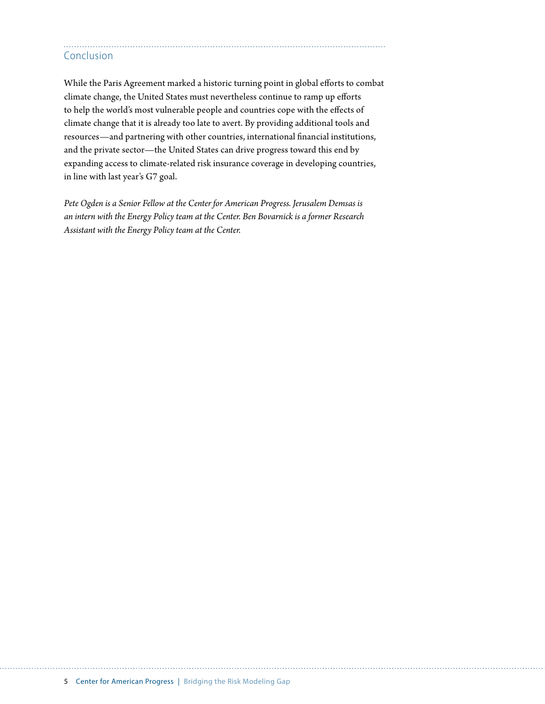#### Conclusion

While the Paris Agreement marked a historic turning point in global efforts to combat climate change, the United States must nevertheless continue to ramp up efforts to help the world's most vulnerable people and countries cope with the effects of climate change that it is already too late to avert. By providing additional tools and resources—and partnering with other countries, international financial institutions, and the private sector—the United States can drive progress toward this end by expanding access to climate-related risk insurance coverage in developing countries, in line with last year's G7 goal.

*Pete Ogden is a Senior Fellow at the Center for American Progress. Jerusalem Demsas is an intern with the Energy Policy team at the Center. Ben Bovarnick is a former Research Assistant with the Energy Policy team at the Center.*